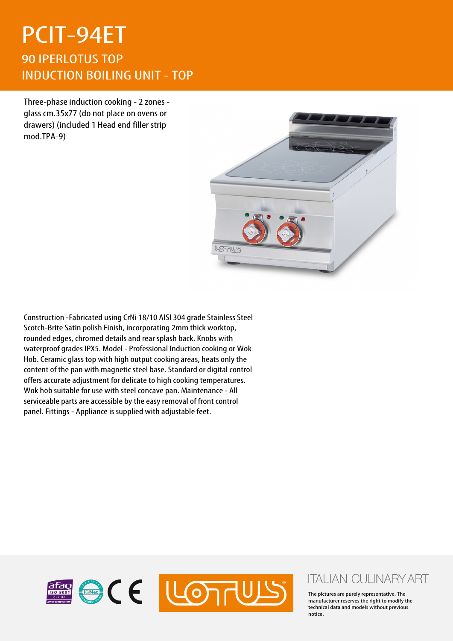## PCIT-94ET 90 IPERLOTUS TOP INDUCTION BOILING UNIT - TOP

Three-phase induction cooking - 2 zones glass cm.35x77 (do not place on ovens or drawers) (included 1 Head end filler strip mod.TPA-9)



Construction -Fabricated using CrNi 18/10 AISI 304 grade Stainless Steel Scotch-Brite Satin polish Finish, incorporating 2mm thick worktop, rounded edges, chromed details and rear splash back. Knobs with waterproof grades IPX5. Model - Professional Induction cooking or Wok Hob. Ceramic glass top with high output cooking areas, heats only the content of the pan with magnetic steel base. Standard or digital control offers accurate adjustment for delicate to high cooking temperatures. Wok hob suitable for use with steel concave pan. Maintenance - All serviceable parts are accessible by the easy removal of front control panel. Fittings - Appliance is supplied with adjustable feet.



## **ITALIAN CULINARY ART**

The pictures are purely representative. The manufacturer reserves the right to modify the technical data and models without previous notice.